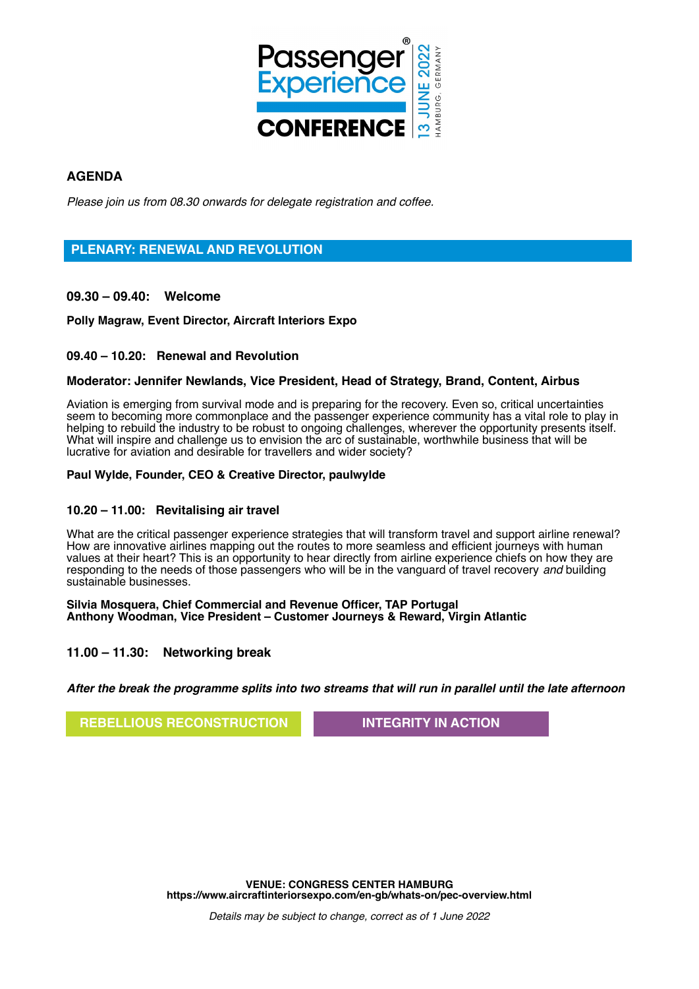

# **AGENDA**

Please join us from 08.30 onwards for delegate registration and coffee.

# **PLENARY: RENEWAL AND REVOLUTION**

**09.30 – 09.40: Welcome**

**Polly Magraw, Event Director, Aircraft Interiors Expo**

## **09.40 – 10.20: Renewal and Revolution**

## **Moderator: Jennifer Newlands, Vice President, Head of Strategy, Brand, Content, Airbus**

Aviation is emerging from survival mode and is preparing for the recovery. Even so, critical uncertainties seem to becoming more commonplace and the passenger experience community has a vital role to play in helping to rebuild the industry to be robust to ongoing challenges, wherever the opportunity presents itself. What will inspire and challenge us to envision the arc of sustainable, worthwhile business that will be lucrative for aviation and desirable for travellers and wider society?

## **Paul Wylde, Founder, CEO & Creative Director, paulwylde**

## **10.20 – 11.00: Revitalising air travel**

What are the critical passenger experience strategies that will transform travel and support airline renewal? How are innovative airlines mapping out the routes to more seamless and efficient journeys with human values at their heart? This is an opportunity to hear directly from airline experience chiefs on how they are responding to the needs of those passengers who will be in the vanguard of travel recovery and building sustainable businesses.

**Silvia Mosquera, Chief Commercial and Revenue Officer, TAP Portugal Anthony Woodman, Vice President – Customer Journeys & Reward, Virgin Atlantic**

## **11.00 – 11.30: Networking break**

**After the break the programme splits into two streams that will run in parallel until the late afternoon**

## **REBELLIOUS RECONSTRUCTION INTEGRITY IN ACTION**

**VENUE: CONGRESS CENTER HAMBURG https://www.aircraftinteriorsexpo.com/en-gb/whats-on/pec-overview.html**

Details may be subject to change, correct as of 1 June 2022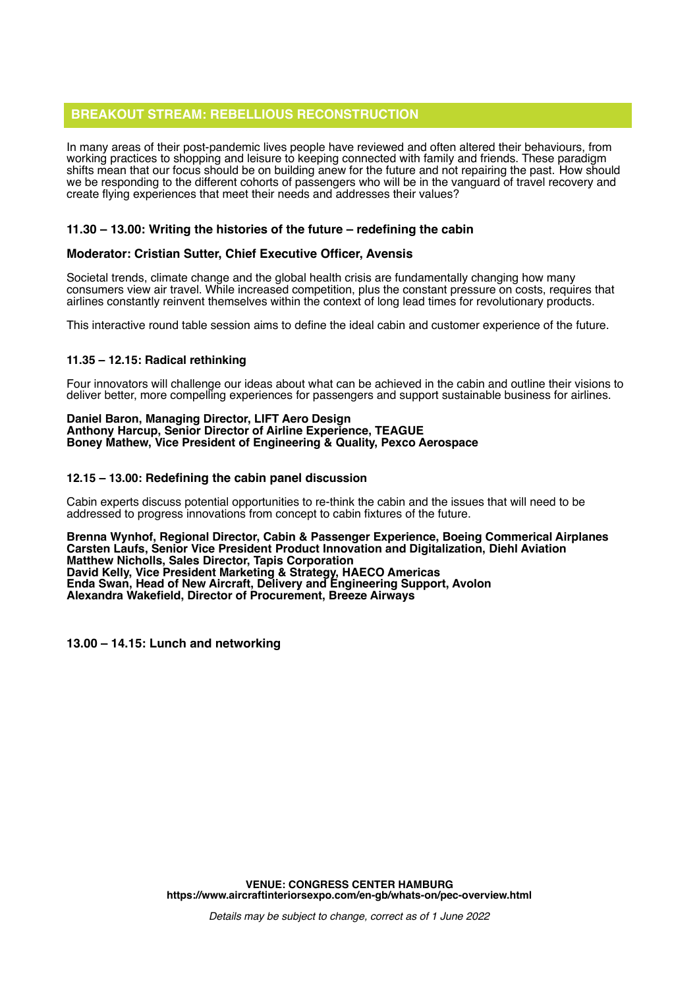# **BREAKOUT STREAM: REBELLIOUS RECONSTRUCTION**

In many areas of their post-pandemic lives people have reviewed and often altered their behaviours, from working practices to shopping and leisure to keeping connected with family and friends. These paradigm shifts mean that our focus should be on building anew for the future and not repairing the past. How should we be responding to the different cohorts of passengers who will be in the vanguard of travel recovery and create flying experiences that meet their needs and addresses their values?

## **11.30 – 13.00: Writing the histories of the future – redefining the cabin**

## **Moderator: Cristian Sutter, Chief Executive Officer, Avensis**

Societal trends, climate change and the global health crisis are fundamentally changing how many consumers view air travel. While increased competition, plus the constant pressure on costs, requires that airlines constantly reinvent themselves within the context of long lead times for revolutionary products.

This interactive round table session aims to define the ideal cabin and customer experience of the future.

## **11.35 – 12.15: Radical rethinking**

Four innovators will challenge our ideas about what can be achieved in the cabin and outline their visions to deliver better, more compelling experiences for passengers and support sustainable business for airlines.

#### **Daniel Baron, Managing Director, LIFT Aero Design Anthony Harcup, Senior Director of Airline Experience, TEAGUE Boney Mathew, Vice President of Engineering & Quality, Pexco Aerospace**

## **12.15 – 13.00: Redefining the cabin panel discussion**

Cabin experts discuss potential opportunities to re-think the cabin and the issues that will need to be addressed to progress innovations from concept to cabin fixtures of the future.

#### **Brenna Wynhof, Regional Director, Cabin & Passenger Experience, Boeing Commerical Airplanes Carsten Laufs, Senior Vice President Product Innovation and Digitalization, Diehl Aviation Matthew Nicholls, Sales Director, Tapis Corporation David Kelly, Vice President Marketing & Strategy, HAECO Americas Enda Swan, Head of New Aircraft, Delivery and Engineering Support, Avolon Alexandra Wakefield, Director of Procurement, Breeze Airways**

**13.00 – 14.15: Lunch and networking**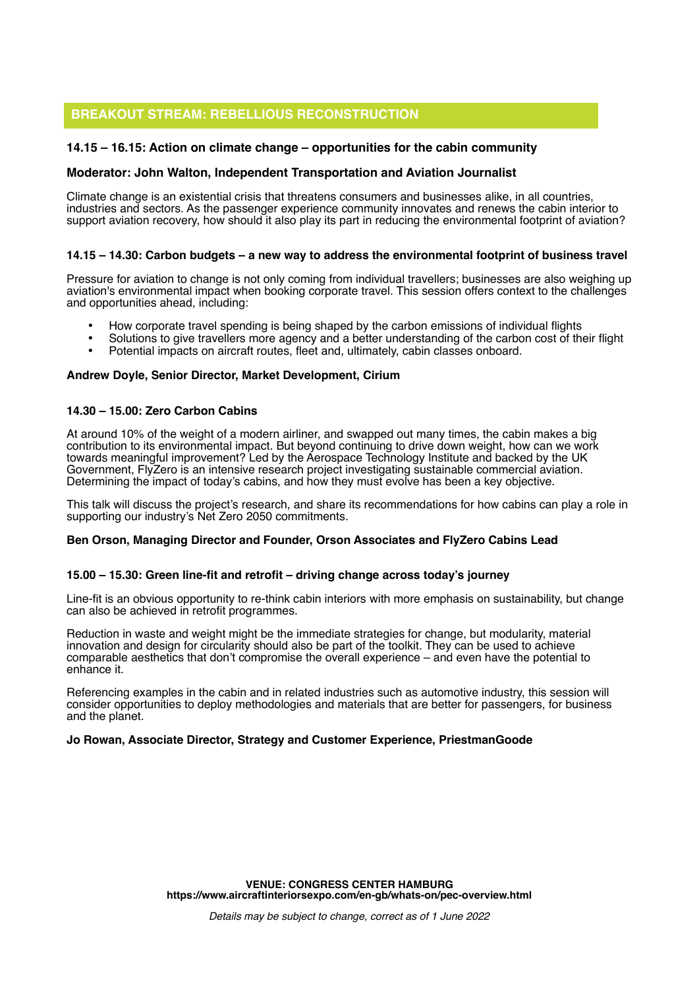# **BREAKOUT STREAM: REBELLIOUS RECONSTRUCTION**

## **14.15 – 16.15: Action on climate change – opportunities for the cabin community**

## **Moderator: John Walton, Independent Transportation and Aviation Journalist**

Climate change is an existential crisis that threatens consumers and businesses alike, in all countries, industries and sectors. As the passenger experience community innovates and renews the cabin interior to support aviation recovery, how should it also play its part in reducing the environmental footprint of aviation?

## **14.15 – 14.30: Carbon budgets – a new way to address the environmental footprint of business travel**

Pressure for aviation to change is not only coming from individual travellers; businesses are also weighing up aviation's environmental impact when booking corporate travel. This session offers context to the challenges and opportunities ahead, including:

- How corporate travel spending is being shaped by the carbon emissions of individual flights
- Solutions to give travellers more agency and a better understanding of the carbon cost of their flight
- Potential impacts on aircraft routes, fleet and, ultimately, cabin classes onboard.

### **Andrew Doyle, Senior Director, Market Development, Cirium**

### **14.30 – 15.00: Zero Carbon Cabins**

At around 10% of the weight of a modern airliner, and swapped out many times, the cabin makes a big contribution to its environmental impact. But beyond continuing to drive down weight, how can we work towards meaningful improvement? Led by the Aerospace Technology Institute and backed by the UK Government, FlyZero is an intensive research project investigating sustainable commercial aviation. Determining the impact of today's cabins, and how they must evolve has been a key objective.

This talk will discuss the project's research, and share its recommendations for how cabins can play a role in supporting our industry's Net Zero 2050 commitments.

#### **Ben Orson, Managing Director and Founder, Orson Associates and FlyZero Cabins Lead**

#### **15.00 – 15.30: Green line-fit and retrofit – driving change across today's journey**

Line-fit is an obvious opportunity to re-think cabin interiors with more emphasis on sustainability, but change can also be achieved in retrofit programmes.

Reduction in waste and weight might be the immediate strategies for change, but modularity, material innovation and design for circularity should also be part of the toolkit. They can be used to achieve comparable aesthetics that don't compromise the overall experience – and even have the potential to enhance it.

Referencing examples in the cabin and in related industries such as automotive industry, this session will consider opportunities to deploy methodologies and materials that are better for passengers, for business and the planet.

### **Jo Rowan, Associate Director, Strategy and Customer Experience, PriestmanGoode**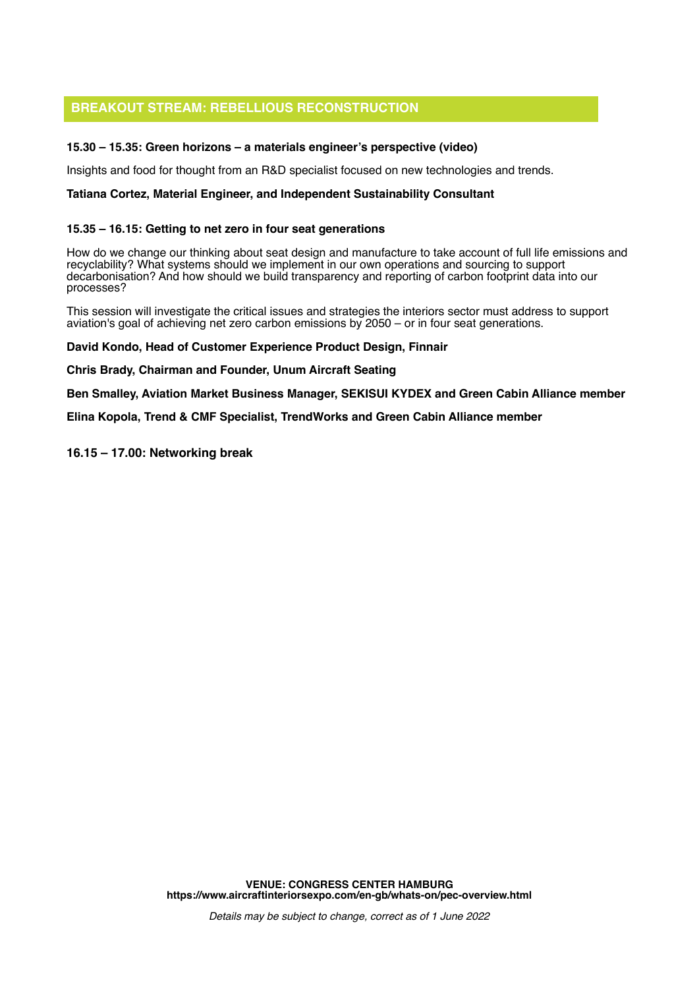# **BREAKOUT STREAM: REBELLIOUS RECONSTRUCTION**

## **15.30 – 15.35: Green horizons – a materials engineer's perspective (video)**

Insights and food for thought from an R&D specialist focused on new technologies and trends.

## **Tatiana Cortez, Material Engineer, and Independent Sustainability Consultant**

## **15.35 – 16.15: Getting to net zero in four seat generations**

How do we change our thinking about seat design and manufacture to take account of full life emissions and recyclability? What systems should we implement in our own operations and sourcing to support decarbonisation? And how should we build transparency and reporting of carbon footprint data into our processes?

This session will investigate the critical issues and strategies the interiors sector must address to support aviation's goal of achieving net zero carbon emissions by 2050 – or in four seat generations.

### **David Kondo, Head of Customer Experience Product Design, Finnair**

**Chris Brady, Chairman and Founder, Unum Aircraft Seating**

**Ben Smalley, Aviation Market Business Manager, SEKISUI KYDEX and Green Cabin Alliance member**

**Elina Kopola, Trend & CMF Specialist, TrendWorks and Green Cabin Alliance member**

### **16.15 – 17.00: Networking break**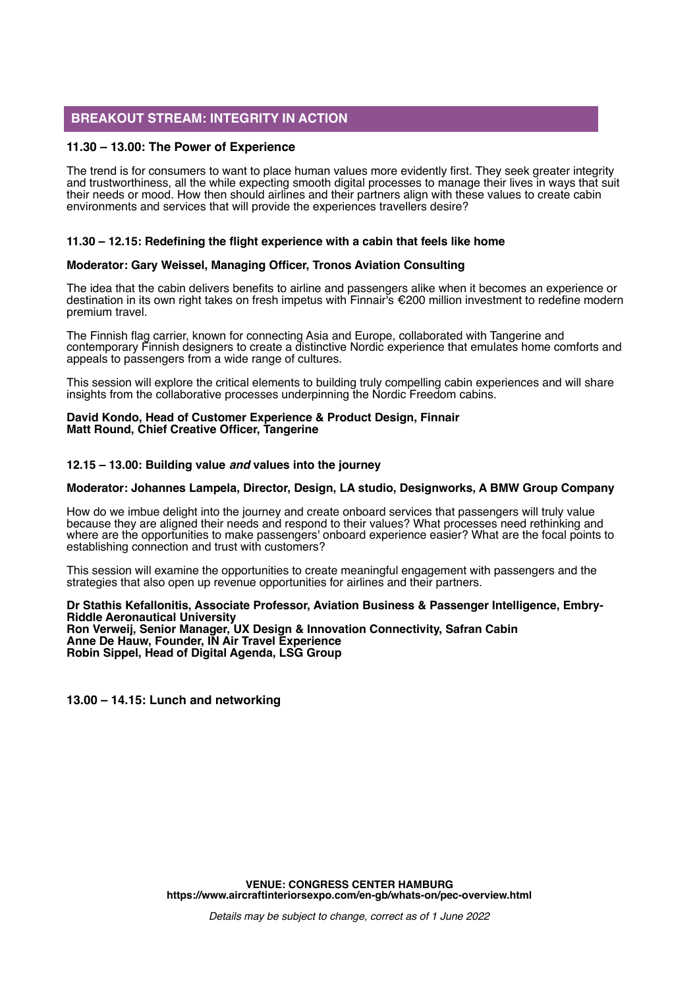## **BREAKOUT STREAM: INTEGRITY IN ACTION**

## **11.30 – 13.00: The Power of Experience**

The trend is for consumers to want to place human values more evidently first. They seek greater integrity and trustworthiness, all the while expecting smooth digital processes to manage their lives in ways that suit their needs or mood. How then should airlines and their partners align with these values to create cabin environments and services that will provide the experiences travellers desire?

## **11.30 – 12.15: Redefining the flight experience with a cabin that feels like home**

## **Moderator: Gary Weissel, Managing Officer, Tronos Aviation Consulting**

The idea that the cabin delivers benefits to airline and passengers alike when it becomes an experience or destination in its own right takes on fresh impetus with Finnair's €200 million investment to redefine modern premium travel.

The Finnish flag carrier, known for connecting Asia and Europe, collaborated with Tangerine and contemporary Finnish designers to create a distinctive Nordic experience that emulates home comforts and appeals to passengers from a wide range of cultures.

This session will explore the critical elements to building truly compelling cabin experiences and will share insights from the collaborative processes underpinning the Nordic Freedom cabins.

#### **David Kondo, Head of Customer Experience & Product Design, Finnair Matt Round, Chief Creative Officer, Tangerine**

## **12.15 – 13.00: Building value and values into the journey**

## **Moderator: Johannes Lampela, Director, Design, LA studio, Designworks, A BMW Group Company**

How do we imbue delight into the journey and create onboard services that passengers will truly value because they are aligned their needs and respond to their values? What processes need rethinking and where are the opportunities to make passengers' onboard experience easier? What are the focal points to establishing connection and trust with customers?

This session will examine the opportunities to create meaningful engagement with passengers and the strategies that also open up revenue opportunities for airlines and their partners.

#### **Dr Stathis Kefallonitis, Associate Professor, Aviation Business & Passenger Intelligence, Embry-Riddle Aeronautical University Ron Verweij, Senior Manager, UX Design & Innovation Connectivity, Safran Cabin Anne De Hauw, Founder, IN Air Travel Experience Robin Sippel, Head of Digital Agenda, LSG Group**

**13.00 – 14.15: Lunch and networking**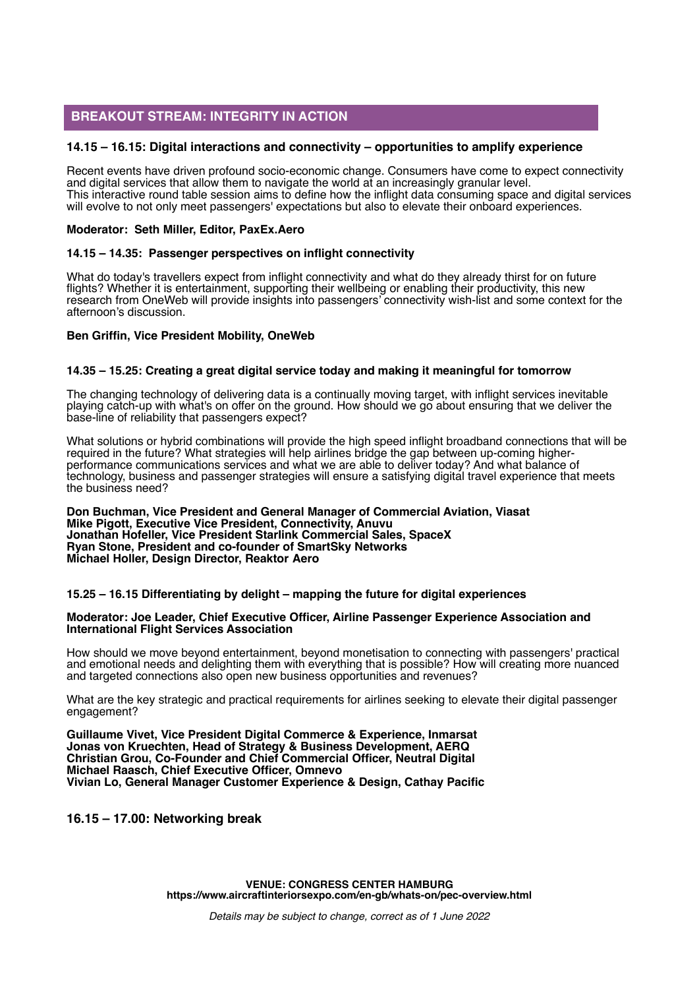# **BREAKOUT STREAM: INTEGRITY IN ACTION**

## **14.15 – 16.15: Digital interactions and connectivity – opportunities to amplify experience**

Recent events have driven profound socio-economic change. Consumers have come to expect connectivity and digital services that allow them to navigate the world at an increasingly granular level. This interactive round table session aims to define how the inflight data consuming space and digital services will evolve to not only meet passengers' expectations but also to elevate their onboard experiences.

## **Moderator: Seth Miller, Editor, PaxEx.Aero**

## **14.15 – 14.35: Passenger perspectives on inflight connectivity**

What do today's travellers expect from inflight connectivity and what do they already thirst for on future flights? Whether it is entertainment, supporting their wellbeing or enabling their productivity, this new research from OneWeb will provide insights into passengers' connectivity wish-list and some context for the afternoon's discussion.

## **Ben Griffin, Vice President Mobility, OneWeb**

## **14.35 – 15.25: Creating a great digital service today and making it meaningful for tomorrow**

The changing technology of delivering data is a continually moving target, with inflight services inevitable playing catch-up with what's on offer on the ground. How should we go about ensuring that we deliver the base-line of reliability that passengers expect?

What solutions or hybrid combinations will provide the high speed inflight broadband connections that will be required in the future? What strategies will help airlines bridge the gap between up-coming higherperformance communications services and what we are able to deliver today? And what balance of technology, business and passenger strategies will ensure a satisfying digital travel experience that meets the business need?

#### **Don Buchman, Vice President and General Manager of Commercial Aviation, Viasat Mike Pigott, Executive Vice President, Connectivity, Anuvu Jonathan Hofeller, Vice President Starlink Commercial Sales, SpaceX Ryan Stone, President and co-founder of SmartSky Networks Michael Holler, Design Director, Reaktor Aero**

## **15.25 – 16.15 Differentiating by delight – mapping the future for digital experiences**

#### **Moderator: Joe Leader, Chief Executive Officer, Airline Passenger Experience Association and International Flight Services Association**

How should we move beyond entertainment, beyond monetisation to connecting with passengers' practical and emotional needs and delighting them with everything that is possible? How will creating more nuanced and targeted connections also open new business opportunities and revenues?

What are the key strategic and practical requirements for airlines seeking to elevate their digital passenger engagement?

**Guillaume Vivet, Vice President Digital Commerce & Experience, Inmarsat Jonas von Kruechten, Head of Strategy & Business Development, AERQ Christian Grou, Co-Founder and Chief Commercial Officer, Neutral Digital Michael Raasch, Chief Executive Officer, Omnevo Vivian Lo, General Manager Customer Experience & Design, Cathay Pacific**

**16.15 – 17.00: Networking break**

**VENUE: CONGRESS CENTER HAMBURG https://www.aircraftinteriorsexpo.com/en-gb/whats-on/pec-overview.html**

Details may be subject to change, correct as of 1 June 2022